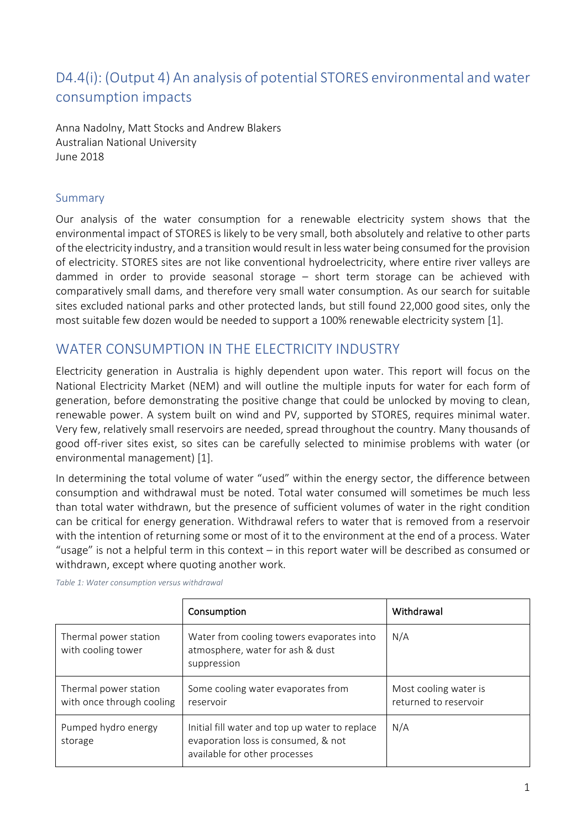# D4.4(i): (Output 4) An analysis of potential STORES environmental and water consumption impacts

Anna Nadolny, Matt Stocks and Andrew Blakers Australian National University June 2018

#### Summary

Our analysis of the water consumption for a renewable electricity system shows that the environmental impact of STORES is likely to be very small, both absolutely and relative to other parts of the electricity industry, and a transition would result in less water being consumed for the provision of electricity. STORES sites are not like conventional hydroelectricity, where entire river valleys are dammed in order to provide seasonal storage  $-$  short term storage can be achieved with comparatively small dams, and therefore very small water consumption. As our search for suitable sites excluded national parks and other protected lands, but still found 22,000 good sites, only the most suitable few dozen would be needed to support a 100% renewable electricity system [1].

## WATER CONSUMPTION IN THE ELECTRICITY INDUSTRY

Electricity generation in Australia is highly dependent upon water. This report will focus on the National Electricity Market (NEM) and will outline the multiple inputs for water for each form of generation, before demonstrating the positive change that could be unlocked by moving to clean, renewable power. A system built on wind and PV, supported by STORES, requires minimal water. Very few, relatively small reservoirs are needed, spread throughout the country. Many thousands of good off-river sites exist, so sites can be carefully selected to minimise problems with water (or environmental management) [1].

In determining the total volume of water "used" within the energy sector, the difference between consumption and withdrawal must be noted. Total water consumed will sometimes be much less than total water withdrawn, but the presence of sufficient volumes of water in the right condition can be critical for energy generation. Withdrawal refers to water that is removed from a reservoir with the intention of returning some or most of it to the environment at the end of a process. Water "usage" is not a helpful term in this context  $-$  in this report water will be described as consumed or withdrawn, except where quoting another work.

|                                                    | Consumption                                                                                                            | Withdrawal                                     |
|----------------------------------------------------|------------------------------------------------------------------------------------------------------------------------|------------------------------------------------|
| Thermal power station<br>with cooling tower        | Water from cooling towers evaporates into<br>atmosphere, water for ash & dust<br>suppression                           | N/A                                            |
| Thermal power station<br>with once through cooling | Some cooling water evaporates from<br>reservoir                                                                        | Most cooling water is<br>returned to reservoir |
| Pumped hydro energy<br>storage                     | Initial fill water and top up water to replace<br>evaporation loss is consumed, & not<br>available for other processes | N/A                                            |

*Table 1: Water consumption versus withdrawal*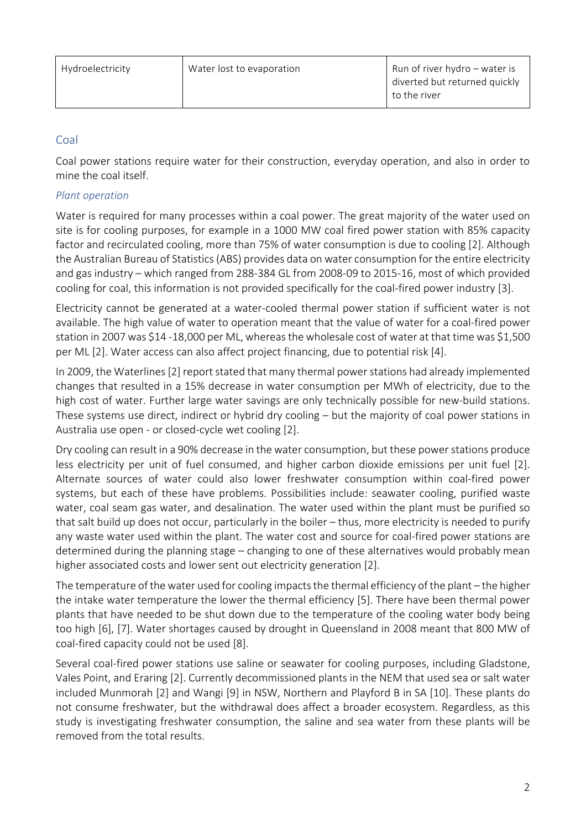## Coal

Coal power stations require water for their construction, everyday operation, and also in order to mine the coal itself.

#### *Plant operation*

Water is required for many processes within a coal power. The great majority of the water used on site is for cooling purposes, for example in a 1000 MW coal fired power station with 85% capacity factor and recirculated cooling, more than 75% of water consumption is due to cooling [2]. Although the Australian Bureau of Statistics (ABS) provides data on water consumption for the entire electricity and gas industry – which ranged from 288-384 GL from 2008-09 to 2015-16, most of which provided cooling for coal, this information is not provided specifically for the coal-fired power industry [3].

Electricity cannot be generated at a water-cooled thermal power station if sufficient water is not available. The high value of water to operation meant that the value of water for a coal-fired power station in 2007 was \$14 -18,000 per ML, whereas the wholesale cost of water at that time was \$1,500 per ML [2]. Water access can also affect project financing, due to potential risk [4].

In 2009, the Waterlines [2] report stated that many thermal power stations had already implemented changes that resulted in a 15% decrease in water consumption per MWh of electricity, due to the high cost of water. Further large water savings are only technically possible for new-build stations. These systems use direct, indirect or hybrid dry cooling  $-$  but the majority of coal power stations in Australia use open - or closed-cycle wet cooling [2].

Dry cooling can result in a 90% decrease in the water consumption, but these power stations produce less electricity per unit of fuel consumed, and higher carbon dioxide emissions per unit fuel [2]. Alternate sources of water could also lower freshwater consumption within coal-fired power systems, but each of these have problems. Possibilities include: seawater cooling, purified waste water, coal seam gas water, and desalination. The water used within the plant must be purified so that salt build up does not occur, particularly in the boiler – thus, more electricity is needed to purify any waste water used within the plant. The water cost and source for coal-fired power stations are determined during the planning stage – changing to one of these alternatives would probably mean higher associated costs and lower sent out electricity generation [2].

The temperature of the water used for cooling impacts the thermal efficiency of the plant - the higher the intake water temperature the lower the thermal efficiency [5]. There have been thermal power plants that have needed to be shut down due to the temperature of the cooling water body being too high [6], [7]. Water shortages caused by drought in Queensland in 2008 meant that 800 MW of coal-fired capacity could not be used [8].

Several coal-fired power stations use saline or seawater for cooling purposes, including Gladstone, Vales Point, and Eraring [2]. Currently decommissioned plants in the NEM that used sea or salt water included Munmorah [2] and Wangi [9] in NSW, Northern and Playford B in SA [10]. These plants do not consume freshwater, but the withdrawal does affect a broader ecosystem. Regardless, as this study is investigating freshwater consumption, the saline and sea water from these plants will be removed from the total results.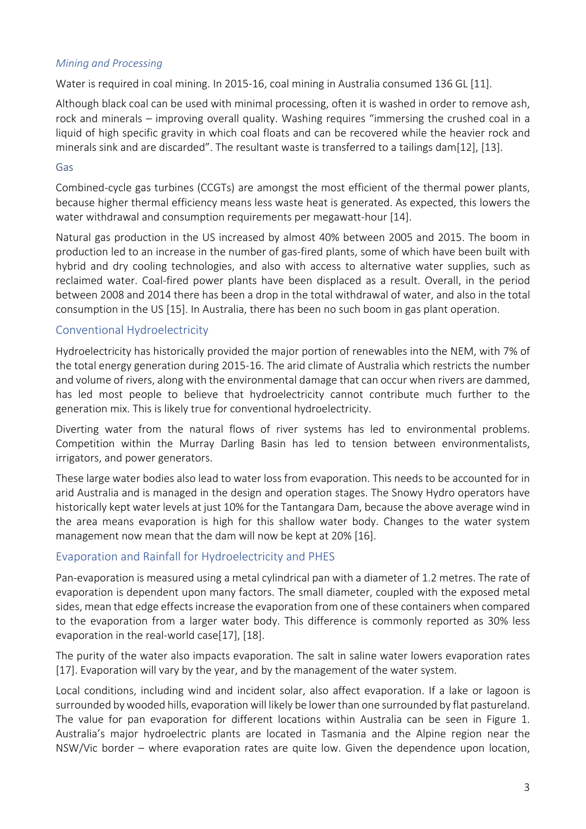#### *Mining and Processing*

Water is required in coal mining. In 2015-16, coal mining in Australia consumed 136 GL [11].

Although black coal can be used with minimal processing, often it is washed in order to remove ash, rock and minerals – improving overall quality. Washing requires "immersing the crushed coal in a liquid of high specific gravity in which coal floats and can be recovered while the heavier rock and minerals sink and are discarded". The resultant waste is transferred to a tailings dam[12], [13].

#### Gas

Combined-cycle gas turbines (CCGTs) are amongst the most efficient of the thermal power plants, because higher thermal efficiency means less waste heat is generated. As expected, this lowers the water withdrawal and consumption requirements per megawatt-hour [14].

Natural gas production in the US increased by almost 40% between 2005 and 2015. The boom in production led to an increase in the number of gas-fired plants, some of which have been built with hybrid and dry cooling technologies, and also with access to alternative water supplies, such as reclaimed water. Coal-fired power plants have been displaced as a result. Overall, in the period between 2008 and 2014 there has been a drop in the total withdrawal of water, and also in the total consumption in the US [15]. In Australia, there has been no such boom in gas plant operation.

#### Conventional Hydroelectricity

Hydroelectricity has historically provided the major portion of renewables into the NEM, with 7% of the total energy generation during 2015-16. The arid climate of Australia which restricts the number and volume of rivers, along with the environmental damage that can occur when rivers are dammed, has led most people to believe that hydroelectricity cannot contribute much further to the generation mix. This is likely true for conventional hydroelectricity.

Diverting water from the natural flows of river systems has led to environmental problems. Competition within the Murray Darling Basin has led to tension between environmentalists, irrigators, and power generators.

These large water bodies also lead to water loss from evaporation. This needs to be accounted for in arid Australia and is managed in the design and operation stages. The Snowy Hydro operators have historically kept water levels at just 10% for the Tantangara Dam, because the above average wind in the area means evaporation is high for this shallow water body. Changes to the water system management now mean that the dam will now be kept at 20% [16].

## Evaporation and Rainfall for Hydroelectricity and PHES

Pan-evaporation is measured using a metal cylindrical pan with a diameter of 1.2 metres. The rate of evaporation is dependent upon many factors. The small diameter, coupled with the exposed metal sides, mean that edge effects increase the evaporation from one of these containers when compared to the evaporation from a larger water body. This difference is commonly reported as 30% less evaporation in the real-world  $case[17]$ ,  $[18]$ .

The purity of the water also impacts evaporation. The salt in saline water lowers evaporation rates [17]. Evaporation will vary by the year, and by the management of the water system.

Local conditions, including wind and incident solar, also affect evaporation. If a lake or lagoon is surrounded by wooded hills, evaporation will likely be lower than one surrounded by flat pastureland. The value for pan evaporation for different locations within Australia can be seen in Figure 1. Australia's major hydroelectric plants are located in Tasmania and the Alpine region near the NSW/Vic border – where evaporation rates are quite low. Given the dependence upon location,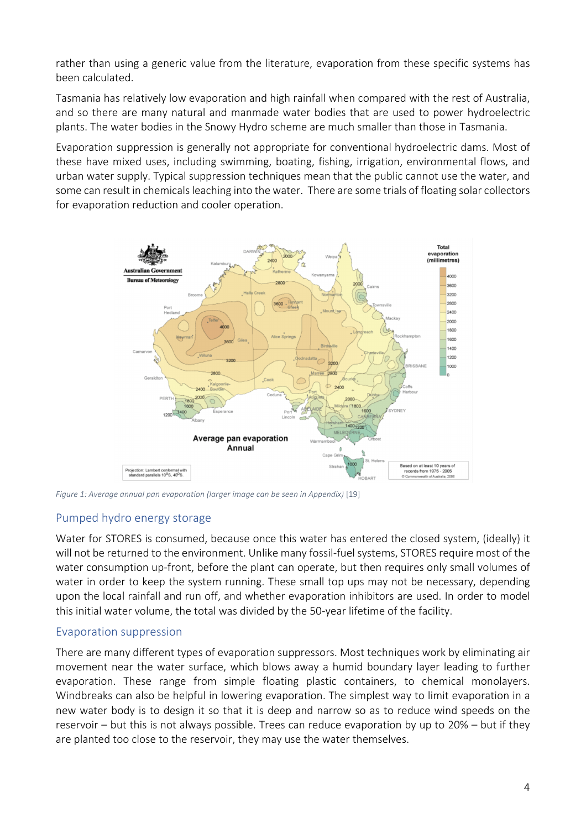rather than using a generic value from the literature, evaporation from these specific systems has been calculated.

Tasmania has relatively low evaporation and high rainfall when compared with the rest of Australia, and so there are many natural and manmade water bodies that are used to power hydroelectric plants. The water bodies in the Snowy Hydro scheme are much smaller than those in Tasmania.

Evaporation suppression is generally not appropriate for conventional hydroelectric dams. Most of these have mixed uses, including swimming, boating, fishing, irrigation, environmental flows, and urban water supply. Typical suppression techniques mean that the public cannot use the water, and some can result in chemicals leaching into the water. There are some trials of floating solar collectors for evaporation reduction and cooler operation.



*Figure 1: Average annual pan evaporation (larger image can be seen in Appendix)* [19]

## Pumped hydro energy storage

Water for STORES is consumed, because once this water has entered the closed system, (ideally) it will not be returned to the environment. Unlike many fossil-fuel systems, STORES require most of the water consumption up-front, before the plant can operate, but then requires only small volumes of water in order to keep the system running. These small top ups may not be necessary, depending upon the local rainfall and run off, and whether evaporation inhibitors are used. In order to model this initial water volume, the total was divided by the 50-year lifetime of the facility.

## Evaporation suppression

There are many different types of evaporation suppressors. Most techniques work by eliminating air movement near the water surface, which blows away a humid boundary layer leading to further evaporation. These range from simple floating plastic containers, to chemical monolayers. Windbreaks can also be helpful in lowering evaporation. The simplest way to limit evaporation in a new water body is to design it so that it is deep and narrow so as to reduce wind speeds on the reservoir – but this is not always possible. Trees can reduce evaporation by up to  $20%$  – but if they are planted too close to the reservoir, they may use the water themselves.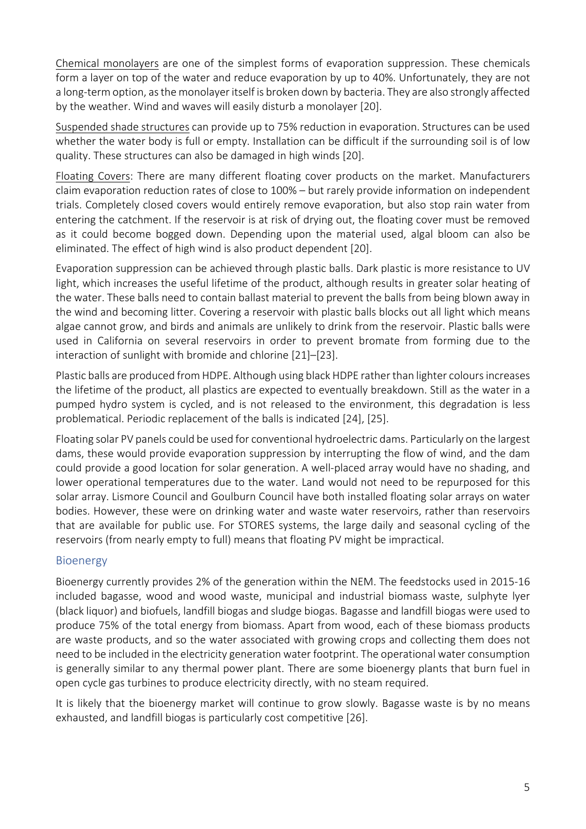Chemical monolayers are one of the simplest forms of evaporation suppression. These chemicals form a layer on top of the water and reduce evaporation by up to 40%. Unfortunately, they are not a long-term option, as the monolayer itself is broken down by bacteria. They are also strongly affected by the weather. Wind and waves will easily disturb a monolayer [20].

Suspended shade structures can provide up to 75% reduction in evaporation. Structures can be used whether the water body is full or empty. Installation can be difficult if the surrounding soil is of low quality. These structures can also be damaged in high winds [20].

Floating Covers: There are many different floating cover products on the market. Manufacturers claim evaporation reduction rates of close to 100% – but rarely provide information on independent trials. Completely closed covers would entirely remove evaporation, but also stop rain water from entering the catchment. If the reservoir is at risk of drying out, the floating cover must be removed as it could become bogged down. Depending upon the material used, algal bloom can also be eliminated. The effect of high wind is also product dependent [20].

Evaporation suppression can be achieved through plastic balls. Dark plastic is more resistance to UV light, which increases the useful lifetime of the product, although results in greater solar heating of the water. These balls need to contain ballast material to prevent the balls from being blown away in the wind and becoming litter. Covering a reservoir with plastic balls blocks out all light which means algae cannot grow, and birds and animals are unlikely to drink from the reservoir. Plastic balls were used in California on several reservoirs in order to prevent bromate from forming due to the interaction of sunlight with bromide and chlorine [21]–[23].

Plastic balls are produced from HDPE. Although using black HDPE rather than lighter colours increases the lifetime of the product, all plastics are expected to eventually breakdown. Still as the water in a pumped hydro system is cycled, and is not released to the environment, this degradation is less problematical. Periodic replacement of the balls is indicated [24], [25].

Floating solar PV panels could be used for conventional hydroelectric dams. Particularly on the largest dams, these would provide evaporation suppression by interrupting the flow of wind, and the dam could provide a good location for solar generation. A well-placed array would have no shading, and lower operational temperatures due to the water. Land would not need to be repurposed for this solar array. Lismore Council and Goulburn Council have both installed floating solar arrays on water bodies. However, these were on drinking water and waste water reservoirs, rather than reservoirs that are available for public use. For STORES systems, the large daily and seasonal cycling of the reservoirs (from nearly empty to full) means that floating PV might be impractical.

#### Bioenergy

Bioenergy currently provides 2% of the generation within the NEM. The feedstocks used in 2015-16 included bagasse, wood and wood waste, municipal and industrial biomass waste, sulphyte lyer (black liquor) and biofuels, landfill biogas and sludge biogas. Bagasse and landfill biogas were used to produce 75% of the total energy from biomass. Apart from wood, each of these biomass products are waste products, and so the water associated with growing crops and collecting them does not need to be included in the electricity generation water footprint. The operational water consumption is generally similar to any thermal power plant. There are some bioenergy plants that burn fuel in open cycle gas turbines to produce electricity directly, with no steam required.

It is likely that the bioenergy market will continue to grow slowly. Bagasse waste is by no means exhausted, and landfill biogas is particularly cost competitive [26].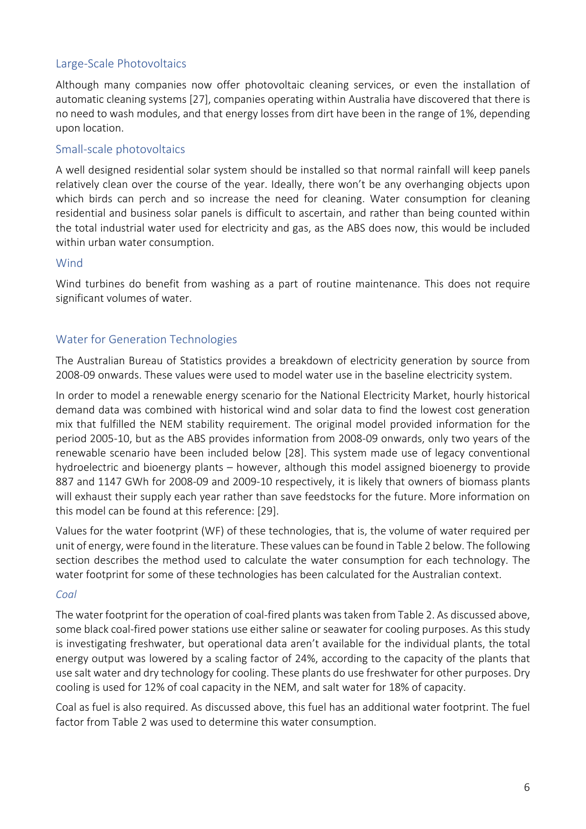## Large-Scale Photovoltaics

Although many companies now offer photovoltaic cleaning services, or even the installation of automatic cleaning systems [27], companies operating within Australia have discovered that there is no need to wash modules, and that energy losses from dirt have been in the range of 1%, depending upon location. 

#### Small-scale photovoltaics

A well designed residential solar system should be installed so that normal rainfall will keep panels relatively clean over the course of the year. Ideally, there won't be any overhanging objects upon which birds can perch and so increase the need for cleaning. Water consumption for cleaning residential and business solar panels is difficult to ascertain, and rather than being counted within the total industrial water used for electricity and gas, as the ABS does now, this would be included within urban water consumption.

#### **Wind**

Wind turbines do benefit from washing as a part of routine maintenance. This does not require significant volumes of water.

#### Water for Generation Technologies

The Australian Bureau of Statistics provides a breakdown of electricity generation by source from 2008-09 onwards. These values were used to model water use in the baseline electricity system.

In order to model a renewable energy scenario for the National Electricity Market, hourly historical demand data was combined with historical wind and solar data to find the lowest cost generation mix that fulfilled the NEM stability requirement. The original model provided information for the period 2005-10, but as the ABS provides information from 2008-09 onwards, only two years of the renewable scenario have been included below [28]. This system made use of legacy conventional hydroelectric and bioenergy plants – however, although this model assigned bioenergy to provide 887 and 1147 GWh for 2008-09 and 2009-10 respectively, it is likely that owners of biomass plants will exhaust their supply each year rather than save feedstocks for the future. More information on this model can be found at this reference: [29].

Values for the water footprint (WF) of these technologies, that is, the volume of water required per unit of energy, were found in the literature. These values can be found in Table 2 below. The following section describes the method used to calculate the water consumption for each technology. The water footprint for some of these technologies has been calculated for the Australian context.

#### *Coal*

The water footprint for the operation of coal-fired plants was taken from Table 2. As discussed above, some black coal-fired power stations use either saline or seawater for cooling purposes. As this study is investigating freshwater, but operational data aren't available for the individual plants, the total energy output was lowered by a scaling factor of 24%, according to the capacity of the plants that use salt water and dry technology for cooling. These plants do use freshwater for other purposes. Dry cooling is used for 12% of coal capacity in the NEM, and salt water for 18% of capacity.

Coal as fuel is also required. As discussed above, this fuel has an additional water footprint. The fuel factor from Table 2 was used to determine this water consumption.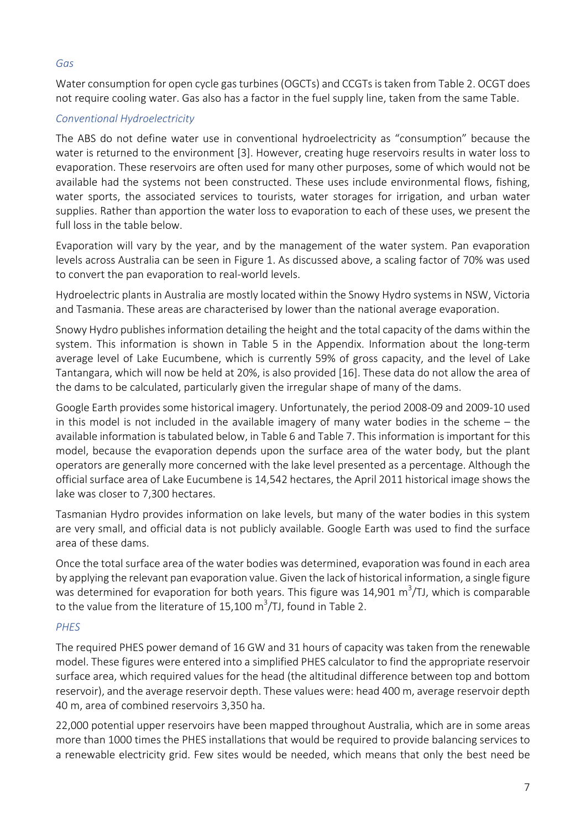#### *Gas*

Water consumption for open cycle gas turbines (OGCTs) and CCGTs is taken from Table 2. OCGT does not require cooling water. Gas also has a factor in the fuel supply line, taken from the same Table.

#### *Conventional Hydroelectricity*

The ABS do not define water use in conventional hydroelectricity as "consumption" because the water is returned to the environment [3]. However, creating huge reservoirs results in water loss to evaporation. These reservoirs are often used for many other purposes, some of which would not be available had the systems not been constructed. These uses include environmental flows, fishing, water sports, the associated services to tourists, water storages for irrigation, and urban water supplies. Rather than apportion the water loss to evaporation to each of these uses, we present the full loss in the table below.

Evaporation will vary by the year, and by the management of the water system. Pan evaporation levels across Australia can be seen in Figure 1. As discussed above, a scaling factor of 70% was used to convert the pan evaporation to real-world levels.

Hydroelectric plants in Australia are mostly located within the Snowy Hydro systems in NSW, Victoria and Tasmania. These areas are characterised by lower than the national average evaporation.

Snowy Hydro publishes information detailing the height and the total capacity of the dams within the system. This information is shown in Table 5 in the Appendix. Information about the long-term average level of Lake Eucumbene, which is currently 59% of gross capacity, and the level of Lake Tantangara, which will now be held at 20%, is also provided [16]. These data do not allow the area of the dams to be calculated, particularly given the irregular shape of many of the dams.

Google Earth provides some historical imagery. Unfortunately, the period 2008-09 and 2009-10 used in this model is not included in the available imagery of many water bodies in the scheme  $-$  the available information is tabulated below, in Table 6 and Table 7. This information is important for this model, because the evaporation depends upon the surface area of the water body, but the plant operators are generally more concerned with the lake level presented as a percentage. Although the official surface area of Lake Eucumbene is 14,542 hectares, the April 2011 historical image shows the lake was closer to 7.300 hectares.

Tasmanian Hydro provides information on lake levels, but many of the water bodies in this system are very small, and official data is not publicly available. Google Earth was used to find the surface area of these dams.

Once the total surface area of the water bodies was determined, evaporation was found in each area by applying the relevant pan evaporation value. Given the lack of historical information, a single figure was determined for evaporation for both years. This figure was 14,901 m<sup>3</sup>/TJ, which is comparable to the value from the literature of 15,100 m<sup>3</sup>/TJ, found in Table 2.

#### *PHES*

The required PHES power demand of 16 GW and 31 hours of capacity was taken from the renewable model. These figures were entered into a simplified PHES calculator to find the appropriate reservoir surface area, which required values for the head (the altitudinal difference between top and bottom reservoir), and the average reservoir depth. These values were: head 400 m, average reservoir depth 40 m, area of combined reservoirs 3,350 ha.

22,000 potential upper reservoirs have been mapped throughout Australia, which are in some areas more than 1000 times the PHES installations that would be required to provide balancing services to a renewable electricity grid. Few sites would be needed, which means that only the best need be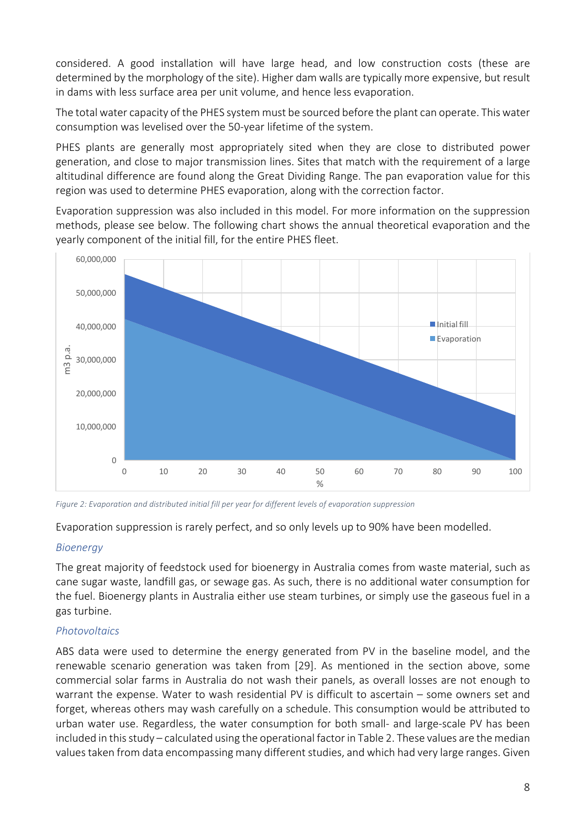considered. A good installation will have large head, and low construction costs (these are determined by the morphology of the site). Higher dam walls are typically more expensive, but result in dams with less surface area per unit volume, and hence less evaporation.

The total water capacity of the PHES system must be sourced before the plant can operate. This water consumption was levelised over the 50-year lifetime of the system.

PHES plants are generally most appropriately sited when they are close to distributed power generation, and close to major transmission lines. Sites that match with the requirement of a large altitudinal difference are found along the Great Dividing Range. The pan evaporation value for this region was used to determine PHES evaporation, along with the correction factor.

Evaporation suppression was also included in this model. For more information on the suppression methods, please see below. The following chart shows the annual theoretical evaporation and the yearly component of the initial fill, for the entire PHES fleet.



Figure 2: Evaporation and distributed initial fill per year for different levels of evaporation suppression

Evaporation suppression is rarely perfect, and so only levels up to 90% have been modelled.

#### *Bioenergy*

The great majority of feedstock used for bioenergy in Australia comes from waste material, such as cane sugar waste, landfill gas, or sewage gas. As such, there is no additional water consumption for the fuel. Bioenergy plants in Australia either use steam turbines, or simply use the gaseous fuel in a gas turbine.

#### *Photovoltaics*

ABS data were used to determine the energy generated from PV in the baseline model, and the renewable scenario generation was taken from [29]. As mentioned in the section above, some commercial solar farms in Australia do not wash their panels, as overall losses are not enough to warrant the expense. Water to wash residential PV is difficult to ascertain  $-$  some owners set and forget, whereas others may wash carefully on a schedule. This consumption would be attributed to urban water use. Regardless, the water consumption for both small- and large-scale PV has been included in this study – calculated using the operational factor in Table 2. These values are the median values taken from data encompassing many different studies, and which had very large ranges. Given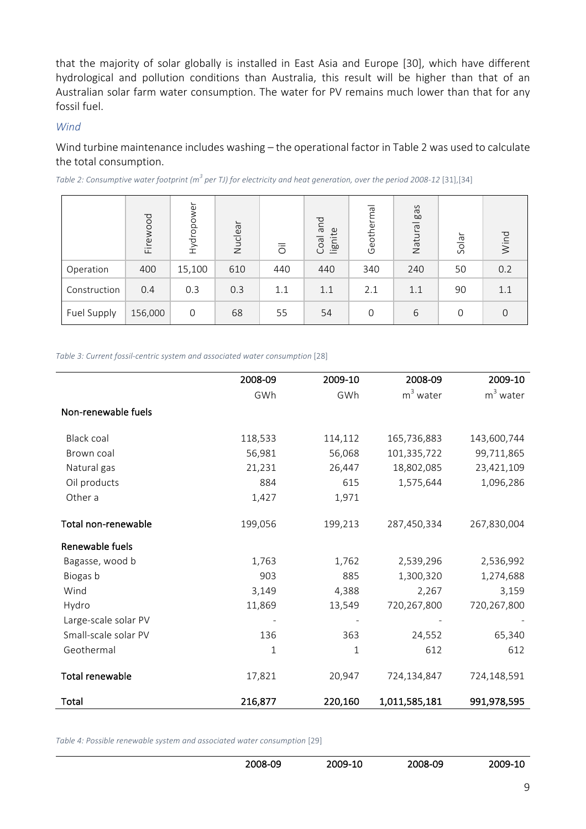that the majority of solar globally is installed in East Asia and Europe [30], which have different hydrological and pollution conditions than Australia, this result will be higher than that of an Australian solar farm water consumption. The water for PV remains much lower than that for any fossil fuel.

#### *Wind*

Wind turbine maintenance includes washing – the operational factor in Table 2 was used to calculate the total consumption.

*Table 2: Consumptive water footprint* ( $m^3$  *per TJ)* for electricity and heat generation, over the period 2008-12 [31],[34]

|              | Firewood | $\omega$<br>odo.<br>тр<br>МН | Nuclear | $\overline{\overline{0}}$ | pue<br>lignite<br>Coal | Geotherma      | gas<br>Natural | Solar | Wind |
|--------------|----------|------------------------------|---------|---------------------------|------------------------|----------------|----------------|-------|------|
| Operation    | 400      | 15,100                       | 610     | 440                       | 440                    | 340            | 240            | 50    | 0.2  |
| Construction | 0.4      | 0.3                          | 0.3     | 1.1                       | 1.1                    | 2.1            | 1.1            | 90    | 1.1  |
| Fuel Supply  | 156,000  | $\mathbf 0$                  | 68      | 55                        | 54                     | $\overline{0}$ | 6              | 0     | 0    |

*Table 3: Current fossil-centric system and associated water consumption* [28]

|                        | 2008-09 | 2009-10 | 2008-09       | 2009-10     |
|------------------------|---------|---------|---------------|-------------|
|                        | GWh     | GWh     | $m3$ water    | $m3$ water  |
| Non-renewable fuels    |         |         |               |             |
| <b>Black coal</b>      | 118,533 | 114,112 | 165,736,883   | 143,600,744 |
| Brown coal             | 56,981  | 56,068  | 101,335,722   | 99,711,865  |
| Natural gas            | 21,231  | 26,447  | 18,802,085    | 23,421,109  |
| Oil products           | 884     | 615     | 1,575,644     | 1,096,286   |
| Other a                | 1,427   | 1,971   |               |             |
| Total non-renewable    | 199,056 | 199,213 | 287,450,334   | 267,830,004 |
| Renewable fuels        |         |         |               |             |
| Bagasse, wood b        | 1,763   | 1,762   | 2,539,296     | 2,536,992   |
| Biogas b               | 903     | 885     | 1,300,320     | 1,274,688   |
| Wind                   | 3,149   | 4,388   | 2,267         | 3,159       |
| Hydro                  | 11,869  | 13,549  | 720,267,800   | 720,267,800 |
| Large-scale solar PV   |         |         |               |             |
| Small-scale solar PV   | 136     | 363     | 24,552        | 65,340      |
| Geothermal             | 1       | 1       | 612           | 612         |
| <b>Total renewable</b> | 17,821  | 20,947  | 724,134,847   | 724,148,591 |
| Total                  | 216,877 | 220,160 | 1,011,585,181 | 991,978,595 |

*Table 4: Possible renewable system and associated water consumption* [29]

| 2008-09 | 2009-10 | 2008-09 | 2009-10 |
|---------|---------|---------|---------|
|         |         |         |         |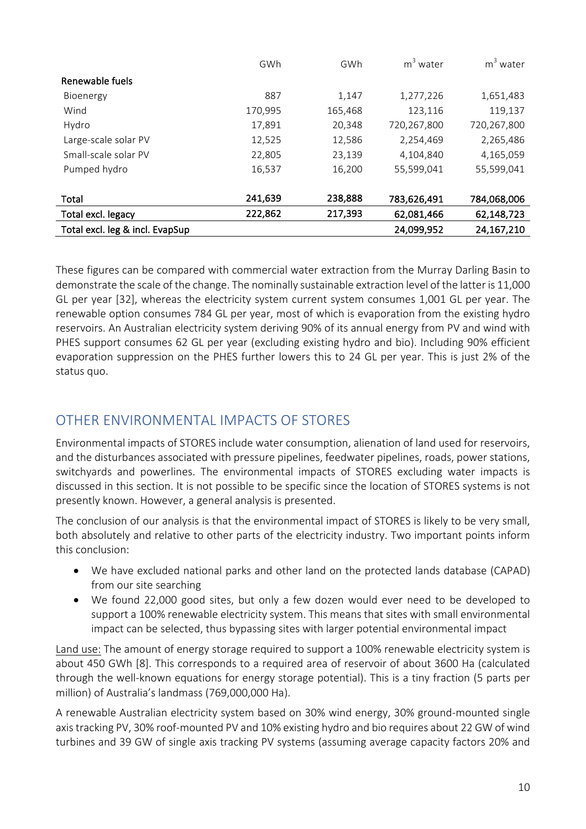|                                 | GWh     | GWh     | $m3$ water  | $m3$ water   |
|---------------------------------|---------|---------|-------------|--------------|
| Renewable fuels                 |         |         |             |              |
| Bioenergy                       | 887     | 1,147   | 1,277,226   | 1,651,483    |
| Wind                            | 170,995 | 165,468 | 123,116     | 119,137      |
| Hydro                           | 17,891  | 20,348  | 720,267,800 | 720,267,800  |
| Large-scale solar PV            | 12,525  | 12,586  | 2,254,469   | 2,265,486    |
| Small-scale solar PV            | 22,805  | 23,139  | 4,104,840   | 4,165,059    |
| Pumped hydro                    | 16,537  | 16,200  | 55,599,041  | 55,599,041   |
|                                 |         |         |             |              |
| Total                           | 241,639 | 238,888 | 783,626,491 | 784,068,006  |
| Total excl. legacy              | 222,862 | 217,393 | 62,081,466  | 62,148,723   |
| Total excl. leg & incl. EvapSup |         |         | 24,099,952  | 24, 167, 210 |

These figures can be compared with commercial water extraction from the Murray Darling Basin to demonstrate the scale of the change. The nominally sustainable extraction level of the latter is 11,000 GL per year [32], whereas the electricity system current system consumes 1,001 GL per year. The renewable option consumes 784 GL per year, most of which is evaporation from the existing hydro reservoirs. An Australian electricity system deriving 90% of its annual energy from PV and wind with PHES support consumes 62 GL per year (excluding existing hydro and bio). Including 90% efficient evaporation suppression on the PHES further lowers this to 24 GL per year. This is just 2% of the status quo.

# OTHER FNVIRONMENTAL IMPACTS OF STORES

Environmental impacts of STORES include water consumption, alienation of land used for reservoirs, and the disturbances associated with pressure pipelines, feedwater pipelines, roads, power stations, switchyards and powerlines. The environmental impacts of STORES excluding water impacts is discussed in this section. It is not possible to be specific since the location of STORES systems is not presently known. However, a general analysis is presented.

The conclusion of our analysis is that the environmental impact of STORES is likely to be very small, both absolutely and relative to other parts of the electricity industry. Two important points inform this conclusion:

- We have excluded national parks and other land on the protected lands database (CAPAD) from our site searching
- We found 22,000 good sites, but only a few dozen would ever need to be developed to support a 100% renewable electricity system. This means that sites with small environmental impact can be selected, thus bypassing sites with larger potential environmental impact

Land use: The amount of energy storage required to support a 100% renewable electricity system is about 450 GWh [8]. This corresponds to a required area of reservoir of about 3600 Ha (calculated through the well-known equations for energy storage potential). This is a tiny fraction (5 parts per million) of Australia's landmass (769,000,000 Ha).

A renewable Australian electricity system based on 30% wind energy, 30% ground-mounted single axis tracking PV, 30% roof-mounted PV and 10% existing hydro and bio requires about 22 GW of wind turbines and 39 GW of single axis tracking PV systems (assuming average capacity factors 20% and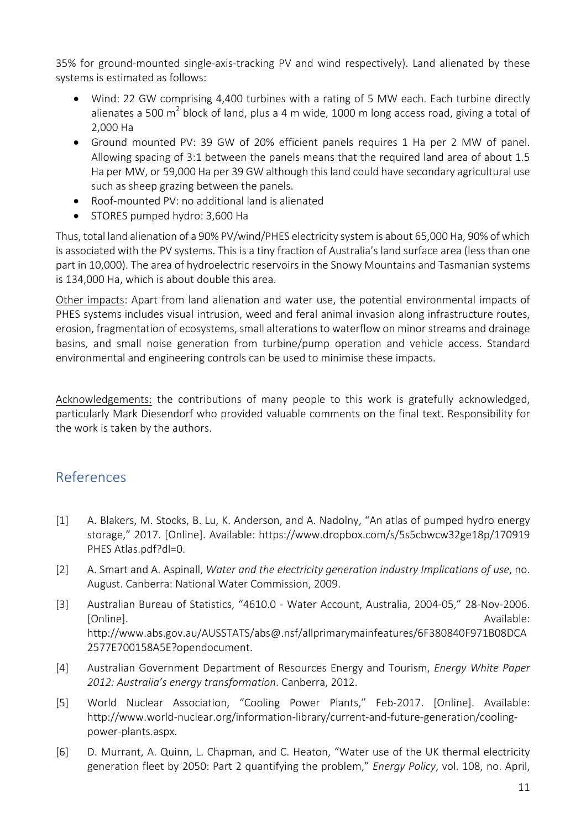35% for ground-mounted single-axis-tracking PV and wind respectively). Land alienated by these systems is estimated as follows:

- Wind: 22 GW comprising 4,400 turbines with a rating of 5 MW each. Each turbine directly alienates a 500 m<sup>2</sup> block of land, plus a 4 m wide, 1000 m long access road, giving a total of 2,000 Ha
- Ground mounted PV: 39 GW of 20% efficient panels requires 1 Ha per 2 MW of panel. Allowing spacing of 3:1 between the panels means that the required land area of about 1.5 Ha per MW, or 59,000 Ha per 39 GW although this land could have secondary agricultural use such as sheep grazing between the panels.
- Roof-mounted PV: no additional land is alienated
- STORES pumped hydro: 3,600 Ha

Thus, total land alienation of a 90% PV/wind/PHES electricity system is about 65,000 Ha, 90% of which is associated with the PV systems. This is a tiny fraction of Australia's land surface area (less than one part in 10,000). The area of hydroelectric reservoirs in the Snowy Mountains and Tasmanian systems is 134,000 Ha, which is about double this area.

Other impacts: Apart from land alienation and water use, the potential environmental impacts of PHES systems includes visual intrusion, weed and feral animal invasion along infrastructure routes, erosion, fragmentation of ecosystems, small alterations to waterflow on minor streams and drainage basins, and small noise generation from turbine/pump operation and vehicle access. Standard environmental and engineering controls can be used to minimise these impacts.

Acknowledgements: the contributions of many people to this work is gratefully acknowledged, particularly Mark Diesendorf who provided valuable comments on the final text. Responsibility for the work is taken by the authors.

## References

- [1] A. Blakers, M. Stocks, B. Lu, K. Anderson, and A. Nadolny, "An atlas of pumped hydro energy storage," 2017. [Online]. Available: https://www.dropbox.com/s/5s5cbwcw32ge18p/170919 PHES Atlas.pdf?dl=0.
- [2] A. Smart and A. Aspinall, *Water and the electricity generation industry Implications of use*, no. August. Canberra: National Water Commission, 2009.
- [3] Australian Bureau of Statistics, "4610.0 Water Account, Australia, 2004-05," 28-Nov-2006. [Online]. **Available:** http://www.abs.gov.au/AUSSTATS/abs@.nsf/allprimarymainfeatures/6F380840F971B08DCA 2577E700158A5E?opendocument.
- [4] Australian Government Department of Resources Energy and Tourism, *Energy White Paper* 2012: Australia's energy transformation. Canberra, 2012.
- [5] World Nuclear Association, "Cooling Power Plants," Feb-2017. [Online]. Available: http://www.world-nuclear.org/information-library/current-and-future-generation/coolingpower-plants.aspx.
- [6] D. Murrant, A. Quinn, L. Chapman, and C. Heaton, "Water use of the UK thermal electricity generation fleet by 2050: Part 2 quantifying the problem," *Energy Policy*, vol. 108, no. April,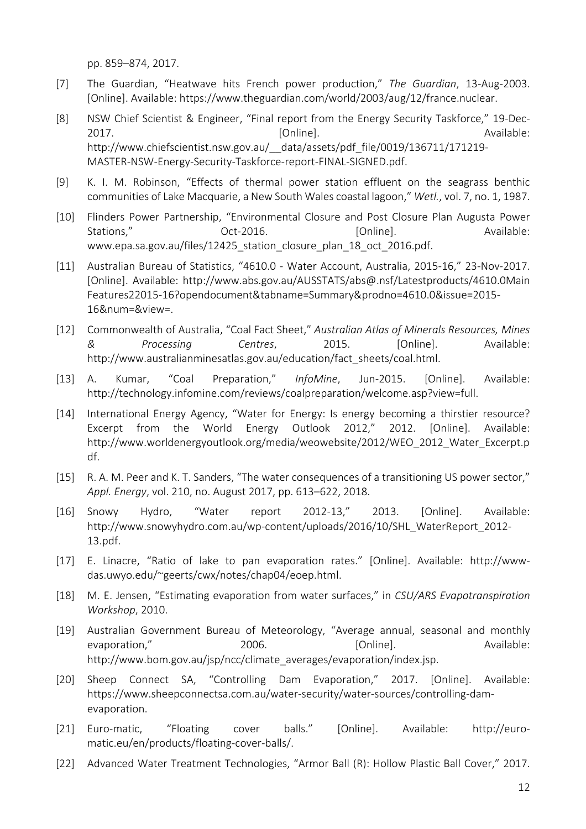pp. 859–874, 2017.

- [7] The Guardian, "Heatwave hits French power production," The Guardian, 13-Aug-2003. [Online]. Available: https://www.theguardian.com/world/2003/aug/12/france.nuclear.
- [8] NSW Chief Scientist & Engineer, "Final report from the Energy Security Taskforce," 19-Dec-2017. [Online]. Available: http://www.chiefscientist.nsw.gov.au/\_\_data/assets/pdf\_file/0019/136711/171219- MASTER-NSW-Energy-Security-Taskforce-report-FINAL-SIGNED.pdf.
- [9] K. I. M. Robinson, "Effects of thermal power station effluent on the seagrass benthic communities of Lake Macquarie, a New South Wales coastal lagoon," *Wetl.*, vol. 7, no. 1, 1987.
- [10] Flinders Power Partnership, "Environmental Closure and Post Closure Plan Augusta Power Stations," 
Stations, 
Coct-2016.  $[Online]$ .  $[Online]$  Available: www.epa.sa.gov.au/files/12425 station closure plan 18 oct 2016.pdf.
- [11] Australian Bureau of Statistics, "4610.0 Water Account, Australia, 2015-16," 23-Nov-2017. [Online]. Available: http://www.abs.gov.au/AUSSTATS/abs@.nsf/Latestproducts/4610.0Main Features22015-16?opendocument&tabname=Summary&prodno=4610.0&issue=2015- 16&num=&view=.
- [12] Commonwealth of Australia, "Coal Fact Sheet," Australian Atlas of Minerals Resources, Mines *& Processing Centres*, 2015. [Online]. Available: http://www.australianminesatlas.gov.au/education/fact\_sheets/coal.html.
- [13] A. Kumar, "Coal Preparation," *InfoMine*, Jun-2015. [Online]. Available: http://technology.infomine.com/reviews/coalpreparation/welcome.asp?view=full.
- [14] International Energy Agency, "Water for Energy: Is energy becoming a thirstier resource? Excerpt from the World Energy Outlook 2012," 2012. [Online]. Available: http://www.worldenergyoutlook.org/media/weowebsite/2012/WEO\_2012\_Water\_Excerpt.p df.
- [15] R. A. M. Peer and K. T. Sanders, "The water consequences of a transitioning US power sector," *Appl. Energy*, vol. 210, no. August 2017, pp. 613–622, 2018.
- [16] Snowy Hydro, "Water report 2012-13," 2013. [Online]. Available: http://www.snowyhydro.com.au/wp-content/uploads/2016/10/SHL\_WaterReport\_2012-13.pdf.
- [17] E. Linacre, "Ratio of lake to pan evaporation rates." [Online]. Available: http://wwwdas.uwyo.edu/~geerts/cwx/notes/chap04/eoep.html.
- [18] M. E. Jensen, "Estimating evaporation from water surfaces," in *CSU/ARS Evapotranspiration Workshop*, 2010.
- [19] Australian Government Bureau of Meteorology, "Average annual, seasonal and monthly evaporation," 2006. [Online]. Available: http://www.bom.gov.au/jsp/ncc/climate\_averages/evaporation/index.jsp.
- [20] Sheep Connect SA, "Controlling Dam Evaporation," 2017. [Online]. Available: https://www.sheepconnectsa.com.au/water-security/water-sources/controlling-damevaporation.
- [21] Euro-matic, "Floating cover balls." [Online]. Available: http://euromatic.eu/en/products/floating-cover-balls/.
- [22] Advanced Water Treatment Technologies, "Armor Ball (R): Hollow Plastic Ball Cover," 2017.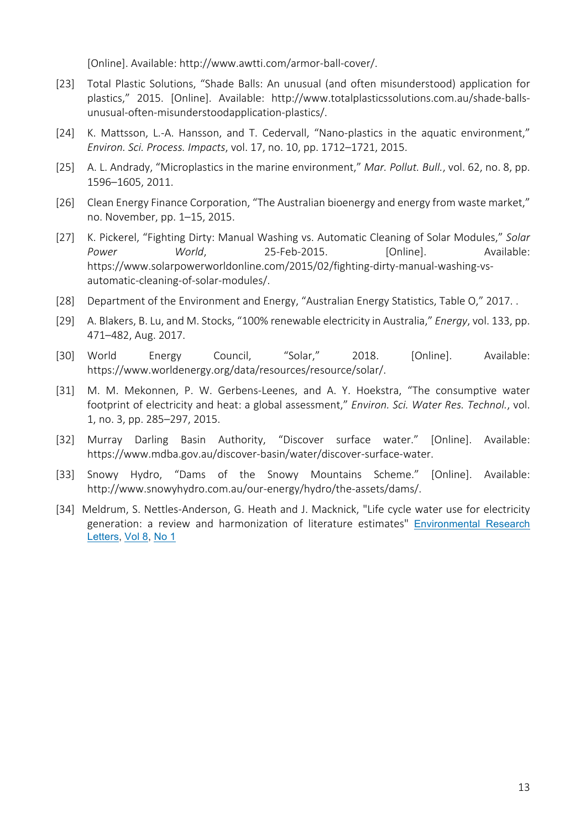[Online]. Available: http://www.awtti.com/armor-ball-cover/.

- [23] Total Plastic Solutions, "Shade Balls: An unusual (and often misunderstood) application for plastics," 2015. [Online]. Available: http://www.totalplasticssolutions.com.au/shade-ballsunusual-often-misunderstoodapplication-plastics/.
- [24] K. Mattsson, L.-A. Hansson, and T. Cedervall, "Nano-plastics in the aquatic environment," *Environ. Sci. Process. Impacts*, vol. 17, no. 10, pp. 1712–1721, 2015.
- [25] A. L. Andrady, "Microplastics in the marine environment," *Mar. Pollut. Bull.*, vol. 62, no. 8, pp. 1596–1605, 2011.
- [26] Clean Energy Finance Corporation, "The Australian bioenergy and energy from waste market," no. November, pp. 1–15, 2015.
- [27] K. Pickerel, "Fighting Dirty: Manual Washing vs. Automatic Cleaning of Solar Modules," Solar Power **World**, **25-Feb-2015.** [Online]. Available: https://www.solarpowerworldonline.com/2015/02/fighting-dirty-manual-washing-vsautomatic-cleaning-of-solar-modules/.
- [28] Department of the Environment and Energy, "Australian Energy Statistics, Table O," 2017. .
- [29] A. Blakers, B. Lu, and M. Stocks, "100% renewable electricity in Australia," *Energy*, vol. 133, pp. 471–482, Aug. 2017.
- [30] World Energy Council, "Solar," 2018. [Online]. Available: https://www.worldenergy.org/data/resources/resource/solar/.
- [31] M. M. Mekonnen, P. W. Gerbens-Leenes, and A. Y. Hoekstra, "The consumptive water footprint of electricity and heat: a global assessment," *Environ. Sci. Water Res. Technol.*, vol. 1, no. 3, pp. 285–297, 2015.
- [32] Murray Darling Basin Authority, "Discover surface water." [Online]. Available: https://www.mdba.gov.au/discover-basin/water/discover-surface-water.
- [33] Snowy Hydro, "Dams of the Snowy Mountains Scheme." [Online]. Available: http://www.snowyhydro.com.au/our-energy/hydro/the-assets/dams/.
- [34] Meldrum, S. Nettles-Anderson, G. Heath and J. Macknick, "Life cycle water use for electricity generation: a review and harmonization of literature estimates" Environmental Research Letters, Vol 8, No 1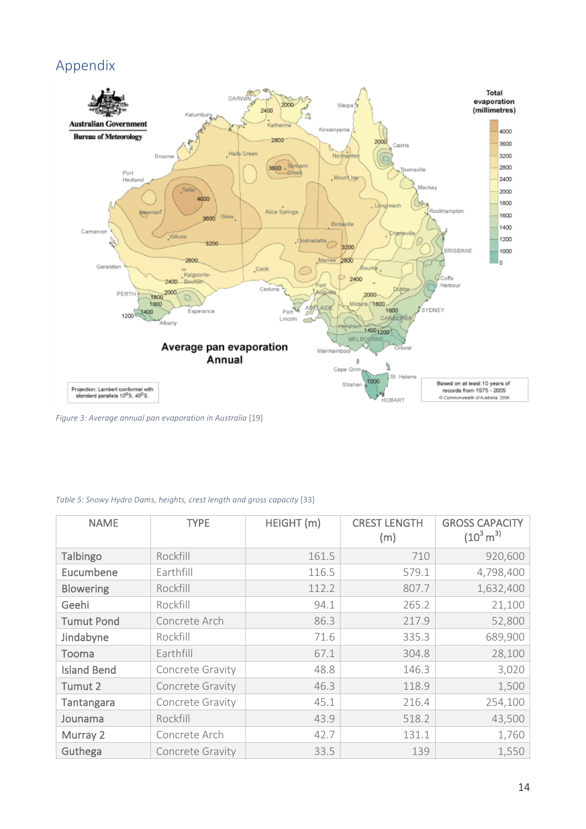# Appendix



*Figure 3: Average annual pan evaporation in Australia* [19]

| <b>NAME</b>        | <b>TYPE</b>      | HEIGHT (m) | <b>CREST LENGTH</b><br>(m) | <b>GROSS CAPACITY</b><br>$(10^3 \,\mathrm{m}^3)$ |
|--------------------|------------------|------------|----------------------------|--------------------------------------------------|
| Talbingo           | Rockfill         | 161.5      | 710                        | 920,600                                          |
| Eucumbene          | Earthfill        | 116.5      | 579.1                      | 4,798,400                                        |
| <b>Blowering</b>   | Rockfill         | 112.2      | 807.7                      | 1,632,400                                        |
| Geehi              | Rockfill         | 94.1       | 265.2                      | 21,100                                           |
| <b>Tumut Pond</b>  | Concrete Arch    | 86.3       | 217.9                      | 52,800                                           |
| Jindabyne          | Rockfill         | 71.6       | 335.3                      | 689,900                                          |
| Tooma              | Earthfill        | 67.1       | 304.8                      | 28,100                                           |
| <b>Island Bend</b> | Concrete Gravity | 48.8       | 146.3                      | 3,020                                            |
| Tumut 2            | Concrete Gravity | 46.3       | 118.9                      | 1,500                                            |
| Tantangara         | Concrete Gravity | 45.1       | 216.4                      | 254,100                                          |
| Jounama            | Rockfill         | 43.9       | 518.2                      | 43,500                                           |
| Murray 2           | Concrete Arch    | 42.7       | 131.1                      | 1,760                                            |
| Guthega            | Concrete Gravity | 33.5       | 139                        | 1,550                                            |

*Table 5: Snowy Hydro Dams, heights, crest length and gross capacity* [33]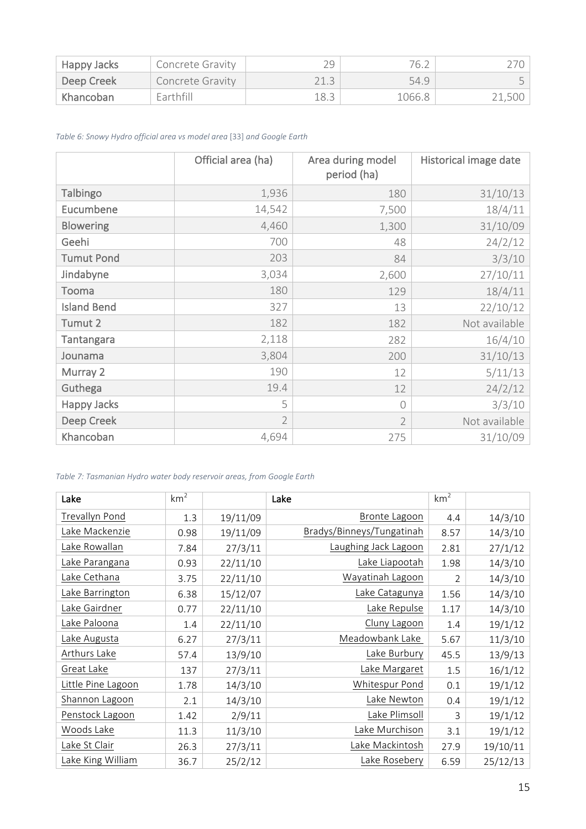| Happy Jacks            | <b>Concrete Gravity</b> |      | 76.∠   |        |
|------------------------|-------------------------|------|--------|--------|
| Deep Creek             | Concrete Gravity        |      | 54.9   |        |
| khancoban <sup>1</sup> | Earthfill               | 18.3 | 1066.8 | 21,500 |

*Table 6: Snowy Hydro official area vs model area* [33] *and Google Earth*

|                    | Official area (ha) | Area during model<br>period (ha) | Historical image date |
|--------------------|--------------------|----------------------------------|-----------------------|
| Talbingo           | 1,936              | 180                              | 31/10/13              |
| Eucumbene          | 14,542             | 7,500                            | 18/4/11               |
| <b>Blowering</b>   | 4,460              | 1,300                            | 31/10/09              |
| Geehi              | 700                | 48                               | 24/2/12               |
| <b>Tumut Pond</b>  | 203                | 84                               | 3/3/10                |
| Jindabyne          | 3,034              | 2,600                            | 27/10/11              |
| Tooma              | 180                | 129                              | 18/4/11               |
| <b>Island Bend</b> | 327                | 13                               | 22/10/12              |
| Tumut 2            | 182                | 182                              | Not available         |
| <b>Tantangara</b>  | 2,118              | 282                              | 16/4/10               |
| Jounama            | 3,804              | 200                              | 31/10/13              |
| Murray 2           | 190                | 12                               | 5/11/13               |
| Guthega            | 19.4               | 12                               | 24/2/12               |
| <b>Happy Jacks</b> | 5                  | $\bigcap$                        | 3/3/10                |
| Deep Creek         | $\overline{2}$     | $\overline{2}$                   | Not available         |
| Khancoban          | 4,694              | 275                              | 31/10/09              |

*Table 7: Tasmanian Hydro water body reservoir areas, from Google Earth*

| Lake               | km <sup>2</sup> |          | Lake                      | km <sup>2</sup> |          |
|--------------------|-----------------|----------|---------------------------|-----------------|----------|
| Trevallyn Pond     | 1.3             | 19/11/09 | <b>Bronte Lagoon</b>      | 4.4             | 14/3/10  |
| Lake Mackenzie     | 0.98            | 19/11/09 | Bradys/Binneys/Tungatinah | 8.57            | 14/3/10  |
| Lake Rowallan      | 7.84            | 27/3/11  | Laughing Jack Lagoon      | 2.81            | 27/1/12  |
| Lake Parangana     | 0.93            | 22/11/10 | Lake Liapootah            | 1.98            | 14/3/10  |
| Lake Cethana       | 3.75            | 22/11/10 | Wayatinah Lagoon          | 2               | 14/3/10  |
| Lake Barrington    | 6.38            | 15/12/07 | Lake Catagunya            | 1.56            | 14/3/10  |
| Lake Gairdner      | 0.77            | 22/11/10 | Lake Repulse              | 1.17            | 14/3/10  |
| Lake Paloona       | 1.4             | 22/11/10 | Cluny Lagoon              | 1.4             | 19/1/12  |
| Lake Augusta       | 6.27            | 27/3/11  | Meadowbank Lake           | 5.67            | 11/3/10  |
| Arthurs Lake       | 57.4            | 13/9/10  | Lake Burbury              | 45.5            | 13/9/13  |
| Great Lake         | 137             | 27/3/11  | Lake Margaret             | 1.5             | 16/1/12  |
| Little Pine Lagoon | 1.78            | 14/3/10  | Whitespur Pond            | 0.1             | 19/1/12  |
| Shannon Lagoon     | 2.1             | 14/3/10  | Lake Newton               | 0.4             | 19/1/12  |
| Penstock Lagoon    | 1.42            | 2/9/11   | Lake Plimsoll             | 3               | 19/1/12  |
| Woods Lake         | 11.3            | 11/3/10  | Lake Murchison            | 3.1             | 19/1/12  |
| Lake St Clair      | 26.3            | 27/3/11  | Lake Mackintosh           | 27.9            | 19/10/11 |
| Lake King William  | 36.7            | 25/2/12  | Lake Rosebery             | 6.59            | 25/12/13 |